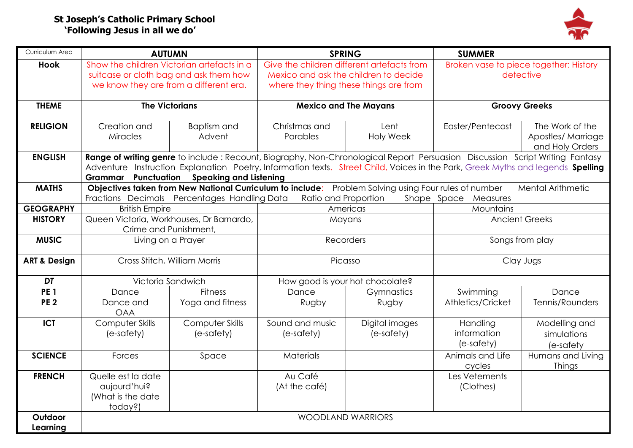## **St Joseph's Catholic Primary School 'Following Jesus in all we do'**



| Curriculum Area         | <b>AUTUMN</b>                                                                                                                                                                                                                                                                                                        |                                        | <b>SPRING</b>                              |                              | <b>SUMMER</b>                          |                                                          |
|-------------------------|----------------------------------------------------------------------------------------------------------------------------------------------------------------------------------------------------------------------------------------------------------------------------------------------------------------------|----------------------------------------|--------------------------------------------|------------------------------|----------------------------------------|----------------------------------------------------------|
| <b>Hook</b>             | Show the children Victorian artefacts in a                                                                                                                                                                                                                                                                           |                                        | Give the children different artefacts from |                              | Broken vase to piece together: History |                                                          |
|                         | suitcase or cloth bag and ask them how                                                                                                                                                                                                                                                                               |                                        | Mexico and ask the children to decide      |                              | detective                              |                                                          |
|                         |                                                                                                                                                                                                                                                                                                                      | we know they are from a different era. | where they thing these things are from     |                              |                                        |                                                          |
| <b>THEME</b>            | <b>The Victorians</b>                                                                                                                                                                                                                                                                                                |                                        | <b>Mexico and The Mayans</b>               |                              | <b>Groovy Greeks</b>                   |                                                          |
| <b>RELIGION</b>         | Creation and<br><b>Miracles</b>                                                                                                                                                                                                                                                                                      | <b>Baptism</b> and<br>Advent           | Christmas and<br>Parables                  | Lent<br>Holy Week            | Easter/Pentecost                       | The Work of the<br>Apostles/ Marriage<br>and Holy Orders |
| <b>ENGLISH</b>          | Range of writing genre to include: Recount, Biography, Non-Chronological Report Persuasion Discussion Script Writing Fantasy<br>Adventure Instruction Explanation Poetry, Information texts. Street Child, Voices in the Park, Greek Myths and legends Spelling<br><b>Grammar</b> Punctuation Speaking and Listening |                                        |                                            |                              |                                        |                                                          |
| <b>MATHS</b>            | Objectives taken from New National Curriculum to include: Problem Solving using Four rules of number<br><b>Mental Arithmetic</b><br>Fractions Decimals Percentages Handling Data<br>Ratio and Proportion<br>Shape Space Measures                                                                                     |                                        |                                            |                              |                                        |                                                          |
| <b>GEOGRAPHY</b>        | <b>British Empire</b>                                                                                                                                                                                                                                                                                                |                                        |                                            | Americas                     | Mountains                              |                                                          |
| <b>HISTORY</b>          | Queen Victoria, Workhouses, Dr Barnardo,                                                                                                                                                                                                                                                                             |                                        | Mayans                                     |                              | <b>Ancient Greeks</b>                  |                                                          |
|                         | Crime and Punishment,                                                                                                                                                                                                                                                                                                |                                        |                                            |                              |                                        |                                                          |
| <b>MUSIC</b>            | Living on a Prayer                                                                                                                                                                                                                                                                                                   |                                        | Recorders                                  |                              | Songs from play                        |                                                          |
| <b>ART &amp; Design</b> | Cross Stitch, William Morris                                                                                                                                                                                                                                                                                         |                                        | Picasso                                    |                              | Clay Jugs                              |                                                          |
| DT                      | Victoria Sandwich                                                                                                                                                                                                                                                                                                    |                                        | How good is your hot chocolate?            |                              |                                        |                                                          |
| PE <sub>1</sub>         | Dance                                                                                                                                                                                                                                                                                                                | <b>Fitness</b>                         | Dance                                      | Gymnastics                   | Swimming                               | Dance                                                    |
| <b>PE 2</b>             | Dance and<br><b>OAA</b>                                                                                                                                                                                                                                                                                              | Yoga and fitness                       | Rugby                                      | Rugby                        | Athletics/Cricket                      | Tennis/Rounders                                          |
| <b>ICT</b>              | Computer Skills<br>(e-safety)                                                                                                                                                                                                                                                                                        | <b>Computer Skills</b><br>(e-safety)   | Sound and music<br>(e-safety)              | Digital images<br>(e-safety) | Handling<br>information<br>(e-safety)  | Modelling and<br>simulations<br>(e-safety                |
| <b>SCIENCE</b>          | Forces                                                                                                                                                                                                                                                                                                               | Space                                  | <b>Materials</b>                           |                              | Animals and Life<br>cycles             | Humans and Living<br>Things                              |
| <b>FRENCH</b>           | Quelle est la date<br>aujourd'hui?<br>(What is the date<br>today?)                                                                                                                                                                                                                                                   |                                        | Au Café<br>(At the café)                   |                              | Les Vetements<br>(Clothes)             |                                                          |
| Outdoor<br>Learning     | <b>WOODLAND WARRIORS</b>                                                                                                                                                                                                                                                                                             |                                        |                                            |                              |                                        |                                                          |